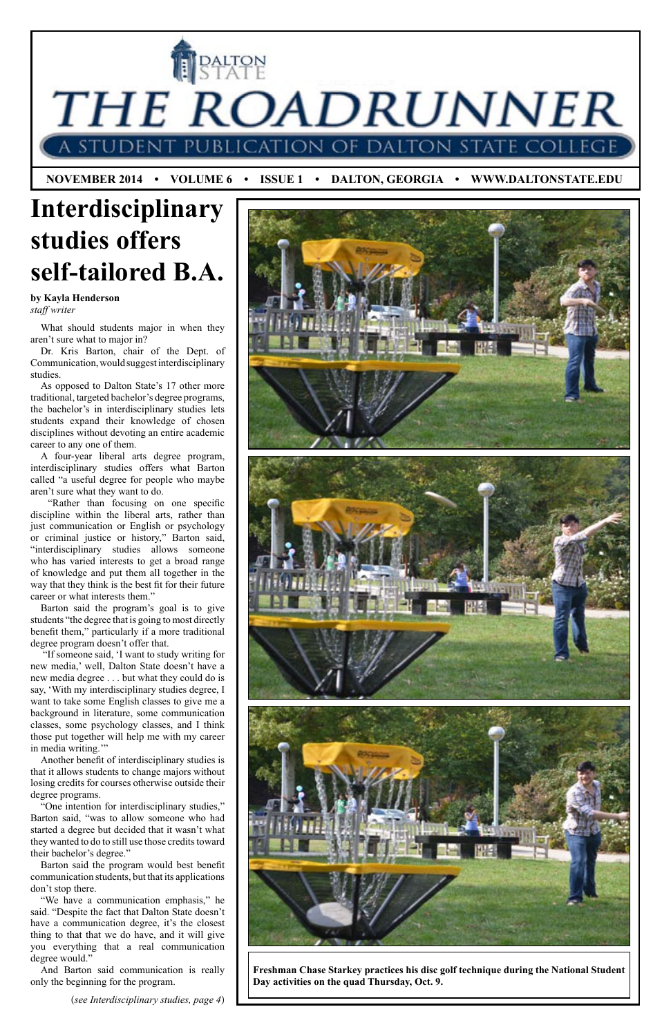THE ROADRUNNER on of Dalton stat

**I PALTON** 

 **NOVEMBER 2014 • VOLUME 6 • ISSUE 1 • DALTON, GEORGIA • WWW.DALTONSTATE.EDU**

## **Interdisciplinary studies offers self-tailored B.A.**

**by Kayla Henderson** *staff writer*

(*see Interdisciplinary studies, page 4*)

What should students major in when they aren't sure what to major in?

Dr. Kris Barton, chair of the Dept. of Communication, would suggest interdisciplinary studies.

As opposed to Dalton State's 17 other more traditional, targeted bachelor's degree programs, the bachelor's in interdisciplinary studies lets students expand their knowledge of chosen disciplines without devoting an entire academic career to any one of them.

 "If someone said, 'I want to study writing for new media,' well, Dalton State doesn't have a new media degree . . . but what they could do is say, 'With my interdisciplinary studies degree, I want to take some English classes to give me a background in literature, some communication classes, some psychology classes, and I think those put together will help me with my career in media writing."

A four-year liberal arts degree program, interdisciplinary studies offers what Barton called "a useful degree for people who maybe aren't sure what they want to do.

 "Rather than focusing on one specific discipline within the liberal arts, rather than just communication or English or psychology or criminal justice or history," Barton said, "interdisciplinary studies allows someone who has varied interests to get a broad range of knowledge and put them all together in the way that they think is the best fit for their future career or what interests them."

Barton said the program's goal is to give students "the degree that is going to most directly benefit them," particularly if a more traditional degree program doesn't offer that.

Another benefit of interdisciplinary studies is that it allows students to change majors without losing credits for courses otherwise outside their degree programs. "One intention for interdisciplinary studies," Barton said, "was to allow someone who had started a degree but decided that it wasn't what they wanted to do to still use those credits toward their bachelor's degree." Barton said the program would best benefit communication students, but that its applications don't stop there. "We have a communication emphasis," he said. "Despite the fact that Dalton State doesn't have a communication degree, it's the closest thing to that that we do have, and it will give you everything that a real communication degree would."



And Barton said communication is really only the beginning for the program.

**Freshman Chase Starkey practices his disc golf technique during the National Student Day activities on the quad Thursday, Oct. 9.**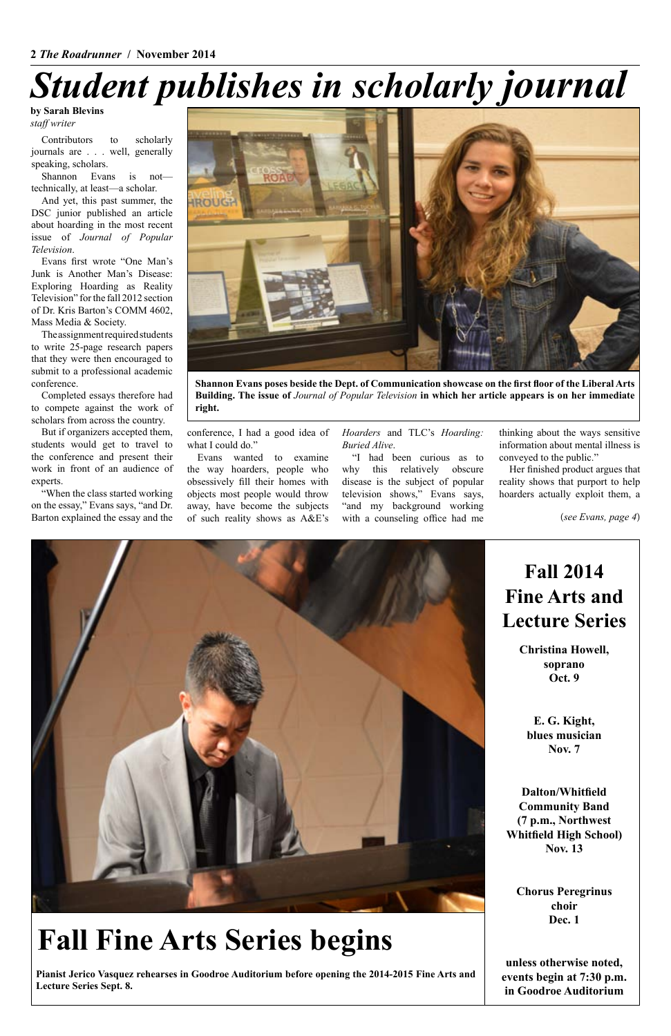

**Shannon Evans poses beside the Dept. of Communication showcase on the first floor of the Liberal Arts Building. The issue of** *Journal of Popular Television* **in which her article appears is on her immediate right.**

Contributors to scholarly journals are . . . well, generally speaking, scholars.

Shannon Evans is not technically, at least—a scholar.

And yet, this past summer, the DSC junior published an article about hoarding in the most recent issue of *Journal of Popular Television*.

> conference, I had a good idea of what I could do."

Evans first wrote "One Man's Junk is Another Man's Disease: Exploring Hoarding as Reality Television" for the fall 2012 section of Dr. Kris Barton's COMM 4602, Mass Media & Society.

The assignment required students to write 25-page research papers that they were then encouraged to submit to a professional academic conference.

Completed essays therefore had to compete against the work of scholars from across the country.

But if organizers accepted them, students would get to travel to the conference and present their work in front of an audience of experts.

"When the class started working on the essay," Evans says, "and Dr. Barton explained the essay and the

Evans wanted to examine the way hoarders, people who obsessively fill their homes with objects most people would throw away, have become the subjects of such reality shows as A&E's *Hoarders* and TLC's *Hoarding: Buried Alive*.

"I had been curious as to why this relatively obscure disease is the subject of popular television shows," Evans says, "and my background working with a counseling office had me

thinking about the ways sensitive information about mental illness is conveyed to the public."

Her finished product argues that reality shows that purport to help hoarders actually exploit them, a

# *Student publishes in scholarly journal*

**by Sarah Blevins** *staff writer*

## **Fall Fine Arts Series begins**

**Pianist Jerico Vasquez rehearses in Goodroe Auditorium before opening the 2014-2015 Fine Arts and Lecture Series Sept. 8.**

### **Fall 2014 Fine Arts and Lecture Series**

**Christina Howell, soprano Oct. 9**

**E. G. Kight, blues musician Nov. 7**

**Dalton/Whitfield Community Band (7 p.m., Northwest Whitfield High School) Nov. 13**

**Chorus Peregrinus choir Dec. 1**

**unless otherwise noted, events begin at 7:30 p.m. in Goodroe Auditorium**

(*see Evans, page 4*)

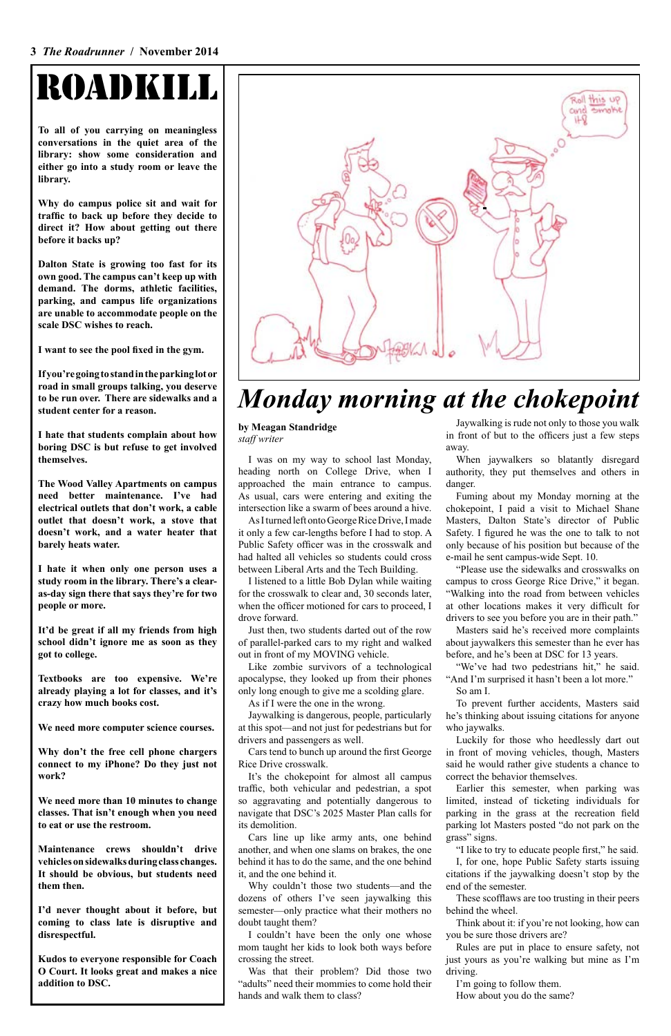#### **3** *The Roadrunner* **/ November 2014**

# ROADKILL

**To all of you carrying on meaningless conversations in the quiet area of the library: show some consideration and either go into a study room or leave the library.**

**Why do campus police sit and wait for traffic to back up before they decide to direct it? How about getting out there before it backs up?**

**Dalton State is growing too fast for its own good. The campus can't keep up with demand. The dorms, athletic facilities, parking, and campus life organizations are unable to accommodate people on the scale DSC wishes to reach.**

**I want to see the pool fixed in the gym.**

**If you're going to stand in the parking lot or road in small groups talking, you deserve to be run over. There are sidewalks and a student center for a reason.**

**I hate that students complain about how boring DSC is but refuse to get involved themselves.**

**The Wood Valley Apartments on campus need better maintenance. I've had electrical outlets that don't work, a cable outlet that doesn't work, a stove that doesn't work, and a water heater that barely heats water.**

**I hate it when only one person uses a study room in the library. There's a clearas-day sign there that says they're for two people or more.**

**It'd be great if all my friends from high school didn't ignore me as soon as they got to college.**

**Textbooks are too expensive. We're already playing a lot for classes, and it's crazy how much books cost.**

**We need more computer science courses.**

**Why don't the free cell phone chargers connect to my iPhone? Do they just not work?**



**We need more than 10 minutes to change classes. That isn't enough when you need to eat or use the restroom.**

**Maintenance crews shouldn't drive vehicles on sidewalks during class changes. It should be obvious, but students need them then.**

**I'd never thought about it before, but coming to class late is disruptive and disrespectful.**

**Kudos to everyone responsible for Coach O Court. It looks great and makes a nice addition to DSC.**

### *Monday morning at the chokepoint*

**by Meagan Standridge** *staff writer*

> When jaywalkers so blatantly disregard authority, they put themselves and others in danger.

I was on my way to school last Monday, heading north on College Drive, when I approached the main entrance to campus. As usual, cars were entering and exiting the intersection like a swarm of bees around a hive.

As I turned left onto George Rice Drive, I made it only a few car-lengths before I had to stop. A Public Safety officer was in the crosswalk and had halted all vehicles so students could cross between Liberal Arts and the Tech Building.

> "We've had two pedestrians hit," he said. "And I'm surprised it hasn't been a lot more." So am I.

I listened to a little Bob Dylan while waiting for the crosswalk to clear and, 30 seconds later, when the officer motioned for cars to proceed, I drove forward.

Just then, two students darted out of the row of parallel-parked cars to my right and walked out in front of my MOVING vehicle.

Like zombie survivors of a technological apocalypse, they looked up from their phones only long enough to give me a scolding glare.

As if I were the one in the wrong.

Jaywalking is dangerous, people, particularly at this spot—and not just for pedestrians but for drivers and passengers as well.

Cars tend to bunch up around the first George

Rice Drive crosswalk.

It's the chokepoint for almost all campus traffic, both vehicular and pedestrian, a spot so aggravating and potentially dangerous to navigate that DSC's 2025 Master Plan calls for its demolition.

Cars line up like army ants, one behind another, and when one slams on brakes, the one behind it has to do the same, and the one behind it, and the one behind it.

Why couldn't those two students—and the dozens of others I've seen jaywalking this semester—only practice what their mothers no doubt taught them?

I couldn't have been the only one whose mom taught her kids to look both ways before crossing the street.

Was that their problem? Did those two "adults" need their mommies to come hold their hands and walk them to class?

Jaywalking is rude not only to those you walk in front of but to the officers just a few steps away.

Fuming about my Monday morning at the chokepoint, I paid a visit to Michael Shane Masters, Dalton State's director of Public Safety. I figured he was the one to talk to not only because of his position but because of the e-mail he sent campus-wide Sept. 10.

"Please use the sidewalks and crosswalks on campus to cross George Rice Drive," it began. "Walking into the road from between vehicles at other locations makes it very difficult for drivers to see you before you are in their path."

Masters said he's received more complaints about jaywalkers this semester than he ever has before, and he's been at DSC for 13 years.

To prevent further accidents, Masters said he's thinking about issuing citations for anyone who jaywalks.

Luckily for those who heedlessly dart out in front of moving vehicles, though, Masters said he would rather give students a chance to correct the behavior themselves.

Earlier this semester, when parking was limited, instead of ticketing individuals for parking in the grass at the recreation field parking lot Masters posted "do not park on the grass" signs.

"I like to try to educate people first," he said. I, for one, hope Public Safety starts issuing citations if the jaywalking doesn't stop by the end of the semester.

These scofflaws are too trusting in their peers behind the wheel.

Think about it: if you're not looking, how can you be sure those drivers are?

Rules are put in place to ensure safety, not just yours as you're walking but mine as I'm driving.

I'm going to follow them.

How about you do the same?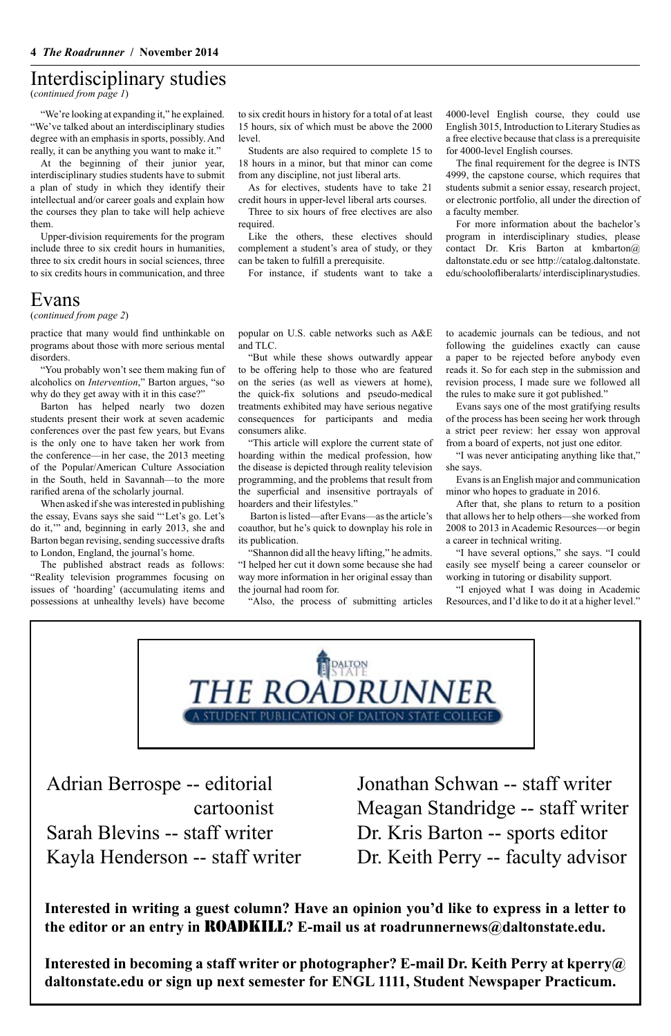**Interested in writing a guest column? Have an opinion you'd like to express in a letter to the editor or an entry in** ROADKILL**? E-mail us at roadrunnernews@daltonstate.edu.**

**Interested in becoming a staff writer or photographer? E-mail Dr. Keith Perry at kperry@ daltonstate.edu or sign up next semester for ENGL 1111, Student Newspaper Practicum.**

### Interdisciplinary studies

(*continued from page 1*)

"We're looking at expanding it," he explained. "We've talked about an interdisciplinary studies degree with an emphasis in sports, possibly. And really, it can be anything you want to make it."

At the beginning of their junior year, interdisciplinary studies students have to submit a plan of study in which they identify their intellectual and/or career goals and explain how the courses they plan to take will help achieve them.

Upper-division requirements for the program include three to six credit hours in humanities, three to six credit hours in social sciences, three to six credits hours in communication, and three

to six credit hours in history for a total of at least 15 hours, six of which must be above the 2000 level.

Students are also required to complete 15 to 18 hours in a minor, but that minor can come from any discipline, not just liberal arts.

As for electives, students have to take 21 credit hours in upper-level liberal arts courses.

Three to six hours of free electives are also required.

Like the others, these electives should complement a student's area of study, or they can be taken to fulfill a prerequisite.

For instance, if students want to take a

#### Evans

(*continued from page 2*)

practice that many would find unthinkable on programs about those with more serious mental disorders.

"You probably won't see them making fun of alcoholics on *Intervention*," Barton argues, "so why do they get away with it in this case?"

Barton has helped nearly two dozen students present their work at seven academic conferences over the past few years, but Evans is the only one to have taken her work from the conference—in her case, the 2013 meeting of the Popular/American Culture Association in the South, held in Savannah—to the more rarified arena of the scholarly journal.

When asked if she was interested in publishing the essay, Evans says she said "'Let's go. Let's do it,'" and, beginning in early 2013, she and Barton began revising, sending successive drafts to London, England, the journal's home.

The published abstract reads as follows: "Reality television programmes focusing on issues of 'hoarding' (accumulating items and possessions at unhealthy levels) have become

popular on U.S. cable networks such as A&E and TLC.

"But while these shows outwardly appear to be offering help to those who are featured on the series (as well as viewers at home), the quick-fix solutions and pseudo-medical treatments exhibited may have serious negative consequences for participants and media consumers alike.

"This article will explore the current state of hoarding within the medical profession, how the disease is depicted through reality television programming, and the problems that result from the superficial and insensitive portrayals of hoarders and their lifestyles."

 Barton is listed—after Evans—as the article's coauthor, but he's quick to downplay his role in its publication.

"Shannon did all the heavy lifting," he admits. "I helped her cut it down some because she had way more information in her original essay than the journal had room for.

"Also, the process of submitting articles

to academic journals can be tedious, and not following the guidelines exactly can cause a paper to be rejected before anybody even reads it. So for each step in the submission and revision process, I made sure we followed all the rules to make sure it got published."

Evans says one of the most gratifying results of the process has been seeing her work through a strict peer review: her essay won approval from a board of experts, not just one editor.

"I was never anticipating anything like that," she says.

Evans is an English major and communication minor who hopes to graduate in 2016.

After that, she plans to return to a position that allows her to help others—she worked from 2008 to 2013 in Academic Resources—or begin a career in technical writing.

"I have several options," she says. "I could easily see myself being a career counselor or working in tutoring or disability support.

"I enjoyed what I was doing in Academic Resources, and I'd like to do it at a higher level."



4000-level English course, they could use English 3015, Introduction to Literary Studies as a free elective because that class is a prerequisite for 4000-level English courses.

The final requirement for the degree is INTS 4999, the capstone course, which requires that students submit a senior essay, research project, or electronic portfolio, all under the direction of a faculty member.

For more information about the bachelor's program in interdisciplinary studies, please contact Dr. Kris Barton at kmbarton@ daltonstate.edu or see http://catalog.daltonstate. edu/schoolofliberalarts/ interdisciplinarystudies.

Adrian Berrospe -- editorial cartoonist Sarah Blevins -- staff writer Kayla Henderson -- staff writer

Jonathan Schwan -- staff writer Meagan Standridge -- staff writer Dr. Kris Barton -- sports editor Dr. Keith Perry -- faculty advisor